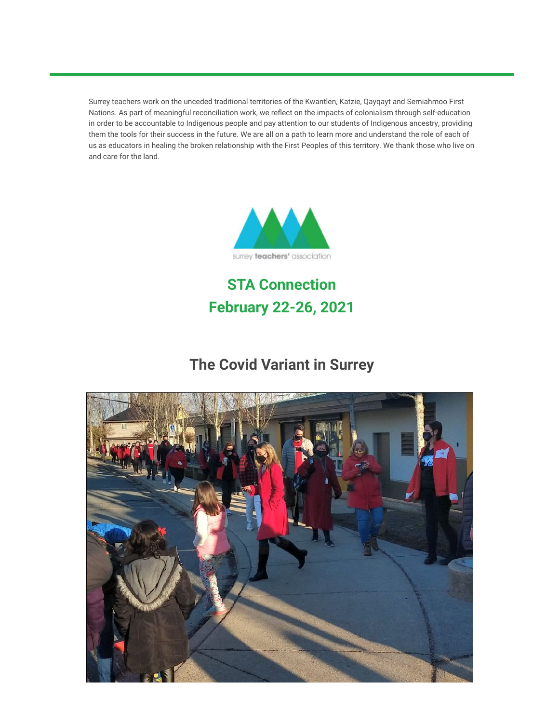Surrey teachers work on the unceded traditional territories of the Kwantlen, Katzie, Qayqayt and Semiahmoo First Nations. As part of meaningful reconciliation work, we reflect on the impacts of colonialism through self-education in order to be accountable to Indigenous people and pay attention to our students of Indigenous ancestry, providing them the tools for their success in the future. We are all on a path to learn more and understand the role of each of us as educators in healing the broken relationship with the First Peoples of this territory. We thank those who live on and care for the land.



**STA Connection February 22-26, 2021**

# **The Covid Variant in Surrey**

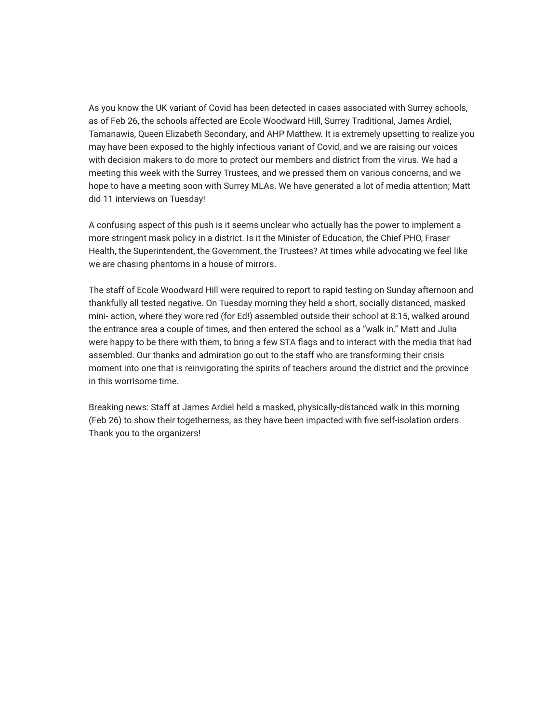As you know the UK variant of Covid has been detected in cases associated with Surrey schools, as of Feb 26, the schools affected are Ecole Woodward Hill, Surrey Traditional, James Ardiel, Tamanawis, Queen Elizabeth Secondary, and AHP Matthew. It is extremely upsetting to realize you may have been exposed to the highly infectious variant of Covid, and we are raising our voices with decision makers to do more to protect our members and district from the virus. We had a meeting this week with the Surrey Trustees, and we pressed them on various concerns, and we hope to have a meeting soon with Surrey MLAs. We have generated a lot of media attention; Matt did 11 interviews on Tuesday!

A confusing aspect of this push is it seems unclear who actually has the power to implement a more stringent mask policy in a district. Is it the Minister of Education, the Chief PHO, Fraser Health, the Superintendent, the Government, the Trustees? At times while advocating we feel like we are chasing phantoms in a house of mirrors.

The staff of Ecole Woodward Hill were required to report to rapid testing on Sunday afternoon and thankfully all tested negative. On Tuesday morning they held a short, socially distanced, masked mini- action, where they wore red (for Ed!) assembled outside their school at 8:15, walked around the entrance area a couple of times, and then entered the school as a "walk in." Matt and Julia were happy to be there with them, to bring a few STA flags and to interact with the media that had assembled. Our thanks and admiration go out to the staff who are transforming their crisis moment into one that is reinvigorating the spirits of teachers around the district and the province in this worrisome time.

Breaking news: Staff at James Ardiel held a masked, physically-distanced walk in this morning (Feb 26) to show their togetherness, as they have been impacted with five self-isolation orders. Thank you to the organizers!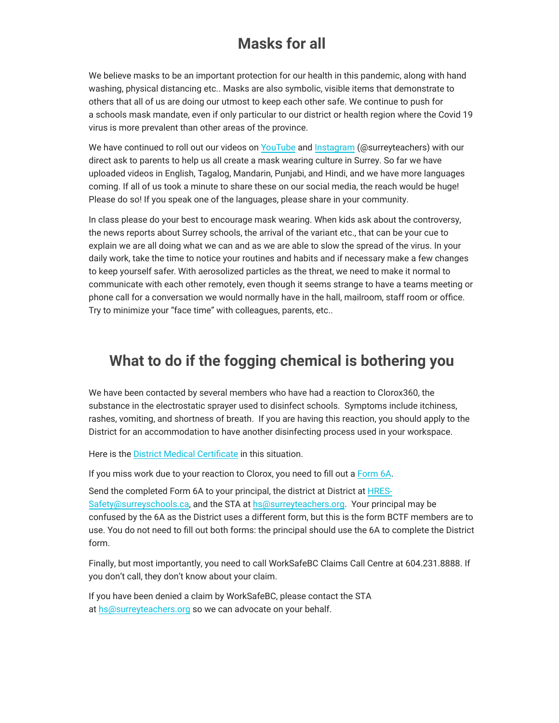### **Masks for all**

We believe masks to be an important protection for our health in this pandemic, along with hand washing, physical distancing etc.. Masks are also symbolic, visible items that demonstrate to others that all of us are doing our utmost to keep each other safe. We continue to push for a schools mask mandate, even if only particular to our district or health region where the Covid 19 virus is more prevalent than other areas of the province.

We have continued to roll out our videos on [YouTube](https://surreyteachers.us20.list-manage.com/track/click?u=37ec644ae87e34b54b3912660&id=1b57ed0044&e=7261da6bdb) and [Instagram](https://surreyteachers.us20.list-manage.com/track/click?u=37ec644ae87e34b54b3912660&id=daadd626ef&e=7261da6bdb) (@surreyteachers) with our direct ask to parents to help us all create a mask wearing culture in Surrey. So far we have uploaded videos in English, Tagalog, Mandarin, Punjabi, and Hindi, and we have more languages coming. If all of us took a minute to share these on our social media, the reach would be huge! Please do so! If you speak one of the languages, please share in your community.

In class please do your best to encourage mask wearing. When kids ask about the controversy, the news reports about Surrey schools, the arrival of the variant etc., that can be your cue to explain we are all doing what we can and as we are able to slow the spread of the virus. In your daily work, take the time to notice your routines and habits and if necessary make a few changes to keep yourself safer. With aerosolized particles as the threat, we need to make it normal to communicate with each other remotely, even though it seems strange to have a teams meeting or phone call for a conversation we would normally have in the hall, mailroom, staff room or office. Try to minimize your "face time" with colleagues, parents, etc..

#### **What to do if the fogging chemical is bothering you**

We have been contacted by several members who have had a reaction to Clorox360, the substance in the electrostatic sprayer used to disinfect schools. Symptoms include itchiness, rashes, vomiting, and shortness of breath. If you are having this reaction, you should apply to the District for an accommodation to have another disinfecting process used in your workspace.

Here is the [District Medical Certificate](https://surreyteachers.us20.list-manage.com/track/click?u=37ec644ae87e34b54b3912660&id=20bc8fc67b&e=7261da6bdb) in this situation.

If you miss work due to your reaction to Clorox, you need to fill out a [Form 6A.](https://surreyteachers.us20.list-manage.com/track/click?u=37ec644ae87e34b54b3912660&id=30a0b7481e&e=7261da6bdb)

Send the completed Form 6A to your principal, the district at District at HRES-[Safety@surreyschools.ca, and the STA at hs@surreyteachers.org. Your princi](mailto:HRES-Safety@surreyschools.ca)pal may be confused by the 6A as the District uses a different form, but this is the form BCTF members are to use. You do not need to fill out both forms: the principal should use the 6A to complete the District form.

Finally, but most importantly, you need to call WorkSafeBC Claims Call Centre at 604.231.8888. If you don't call, they don't know about your claim.

If you have been denied a claim by WorkSafeBC, please contact the STA at [hs@surreyteachers.org](mailto:hs@surreyteachers.org) so we can advocate on your behalf.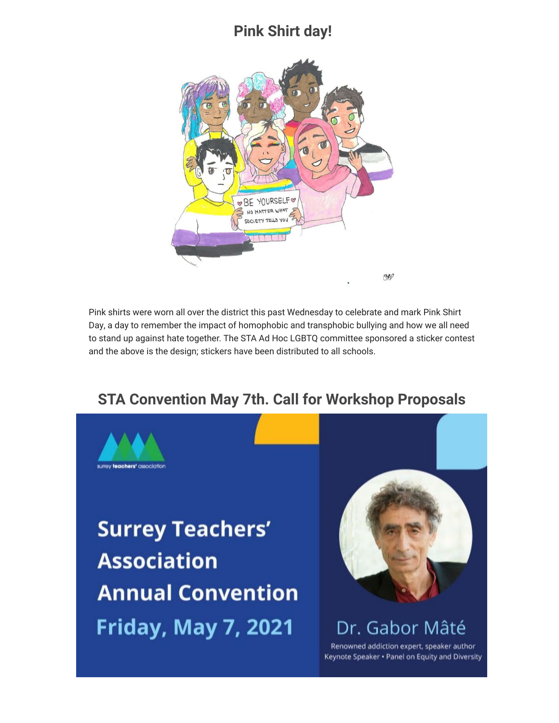#### **Pink Shirt day!**



Pink shirts were worn all over the district this past Wednesday to celebrate and mark Pink Shirt Day, a day to remember the impact of homophobic and transphobic bullying and how we all need to stand up against hate together. The STA Ad Hoc LGBTQ committee sponsored a sticker contest and the above is the design; stickers have been distributed to all schools.

# **STA Convention May 7th. Call for Workshop Proposals**



**Surrey Teachers' Association Annual Convention Friday, May 7, 2021** 



Dr. Gabor Mâté

Renowned addiction expert, speaker author Keynote Speaker . Panel on Equity and Diversity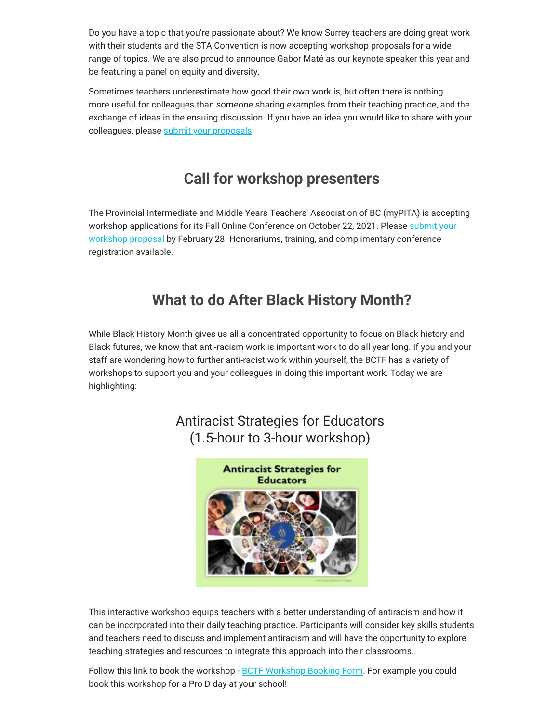Do you have a topic that you're passionate about? We know Surrey teachers are doing great work with their students and the STA Convention is now accepting workshop proposals for a wide range of topics. We are also proud to announce Gabor Maté as our keynote speaker this year and be featuring a panel on equity and diversity.

Sometimes teachers underestimate how good their own work is, but often there is nothing more useful for colleagues than someone sharing examples from their teaching practice, and the exchange of ideas in the ensuing discussion. If you have an idea you would like to share with your colleagues, please [submit your proposals](https://surreyteachers.us20.list-manage.com/track/click?u=37ec644ae87e34b54b3912660&id=ac5f388f5a&e=7261da6bdb).

### **Call for workshop presenters**

The Provincial Intermediate and Middle Years Teachers' Association of BC (myPITA) is accepting [workshop applications for its Fall Online Conference on October 22, 2021. Please submit your](https://surreyteachers.us20.list-manage.com/track/click?u=37ec644ae87e34b54b3912660&id=e52bd3cb8a&e=7261da6bdb) workshop proposal by February 28. Honorariums, training, and complimentary conference registration available.

### **What to do After Black History Month?**

While Black History Month gives us all a concentrated opportunity to focus on Black history and Black futures, we know that anti-racism work is important work to do all year long. If you and your staff are wondering how to further anti-racist work within yourself, the BCTF has a variety of workshops to support you and your colleagues in doing this important work. Today we are highlighting:

#### Antiracist Strategies for Educators (1.5-hour to 3-hour workshop)



This interactive workshop equips teachers with a better understanding of antiracism and how it can be incorporated into their daily teaching practice. Participants will consider key skills students and teachers need to discuss and implement antiracism and will have the opportunity to explore teaching strategies and resources to integrate this approach into their classrooms.

Follow this link to book the workshop - [BCTF Workshop Booking Form.](https://surreyteachers.us20.list-manage.com/track/click?u=37ec644ae87e34b54b3912660&id=e530f7b4a9&e=7261da6bdb) For example you could book this workshop for a Pro D day at your school!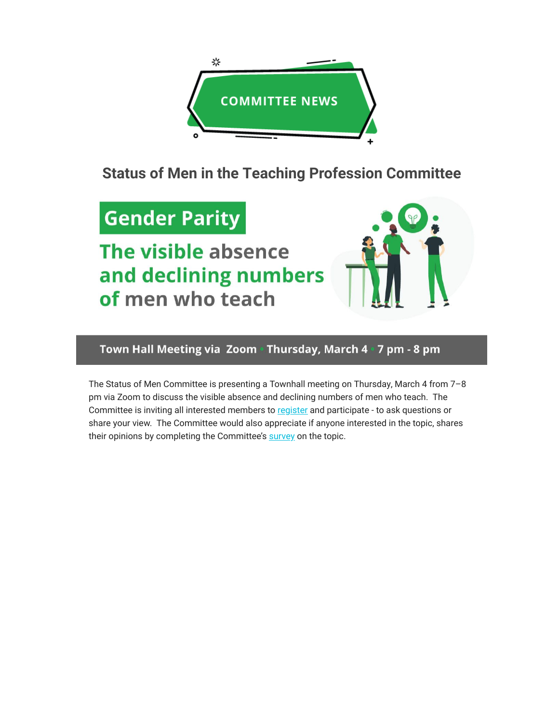

**Status of Men in the Teaching Profession Committee**

# **Gender Parity**

The visible absence and declining numbers of men who teach



Town Hall Meeting via Zoom · Thursday, March 4 · 7 pm - 8 pm

The Status of Men Committee is presenting a Townhall meeting on Thursday, March 4 from 7–8 pm via Zoom to discuss the visible absence and declining numbers of men who teach. The Committee is inviting all interested members to [register](https://surreyteachers.us20.list-manage.com/track/click?u=37ec644ae87e34b54b3912660&id=b639991bbc&e=7261da6bdb) and participate - to ask questions or share your view. The Committee would also appreciate if anyone interested in the topic, shares their opinions by completing the Committee's [survey](https://surreyteachers.us20.list-manage.com/track/click?u=37ec644ae87e34b54b3912660&id=638153eee6&e=7261da6bdb) on the topic.